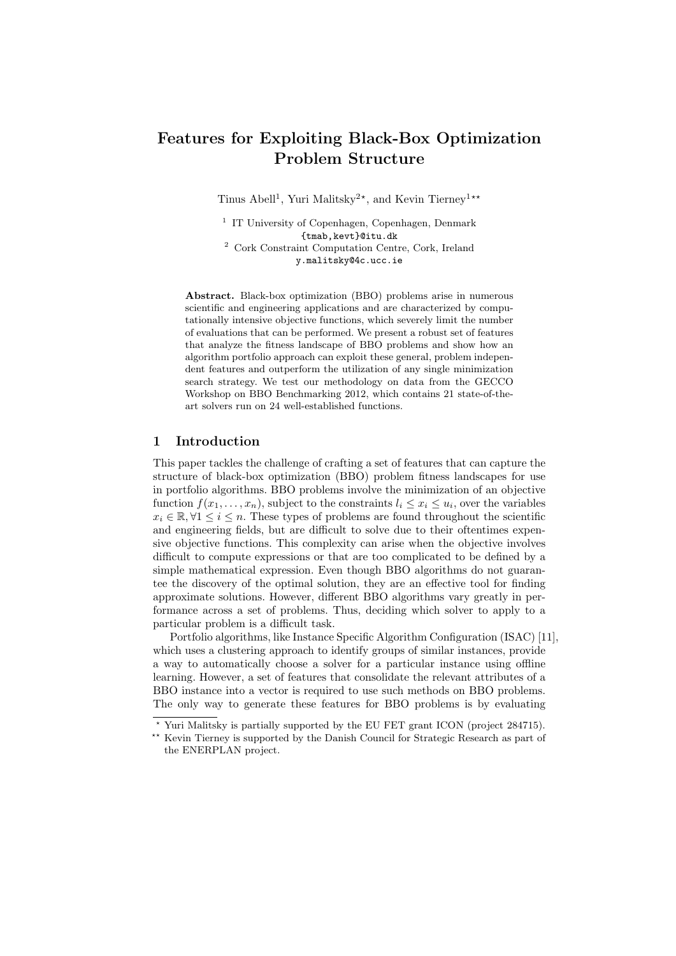# Features for Exploiting Black-Box Optimization Problem Structure

Tinus Abell<sup>1</sup>, Yuri Malitsky<sup>2\*</sup>, and Kevin Tierney<sup>1\*\*</sup>

<sup>1</sup> IT University of Copenhagen, Copenhagen, Denmark {tmab,kevt}@itu.dk

<sup>2</sup> Cork Constraint Computation Centre, Cork, Ireland y.malitsky@4c.ucc.ie

Abstract. Black-box optimization (BBO) problems arise in numerous scientific and engineering applications and are characterized by computationally intensive objective functions, which severely limit the number of evaluations that can be performed. We present a robust set of features that analyze the fitness landscape of BBO problems and show how an algorithm portfolio approach can exploit these general, problem independent features and outperform the utilization of any single minimization search strategy. We test our methodology on data from the GECCO Workshop on BBO Benchmarking 2012, which contains 21 state-of-theart solvers run on 24 well-established functions.

# 1 Introduction

This paper tackles the challenge of crafting a set of features that can capture the structure of black-box optimization (BBO) problem fitness landscapes for use in portfolio algorithms. BBO problems involve the minimization of an objective function  $f(x_1, \ldots, x_n)$ , subject to the constraints  $l_i \leq x_i \leq u_i$ , over the variables  $x_i \in \mathbb{R}, \forall 1 \leq i \leq n$ . These types of problems are found throughout the scientific and engineering fields, but are difficult to solve due to their oftentimes expensive objective functions. This complexity can arise when the objective involves difficult to compute expressions or that are too complicated to be defined by a simple mathematical expression. Even though BBO algorithms do not guarantee the discovery of the optimal solution, they are an effective tool for finding approximate solutions. However, different BBO algorithms vary greatly in performance across a set of problems. Thus, deciding which solver to apply to a particular problem is a difficult task.

Portfolio algorithms, like Instance Specific Algorithm Configuration (ISAC) [11], which uses a clustering approach to identify groups of similar instances, provide a way to automatically choose a solver for a particular instance using offline learning. However, a set of features that consolidate the relevant attributes of a BBO instance into a vector is required to use such methods on BBO problems. The only way to generate these features for BBO problems is by evaluating

<sup>?</sup> Yuri Malitsky is partially supported by the EU FET grant ICON (project 284715).

<sup>\*\*</sup> Kevin Tierney is supported by the Danish Council for Strategic Research as part of the ENERPLAN project.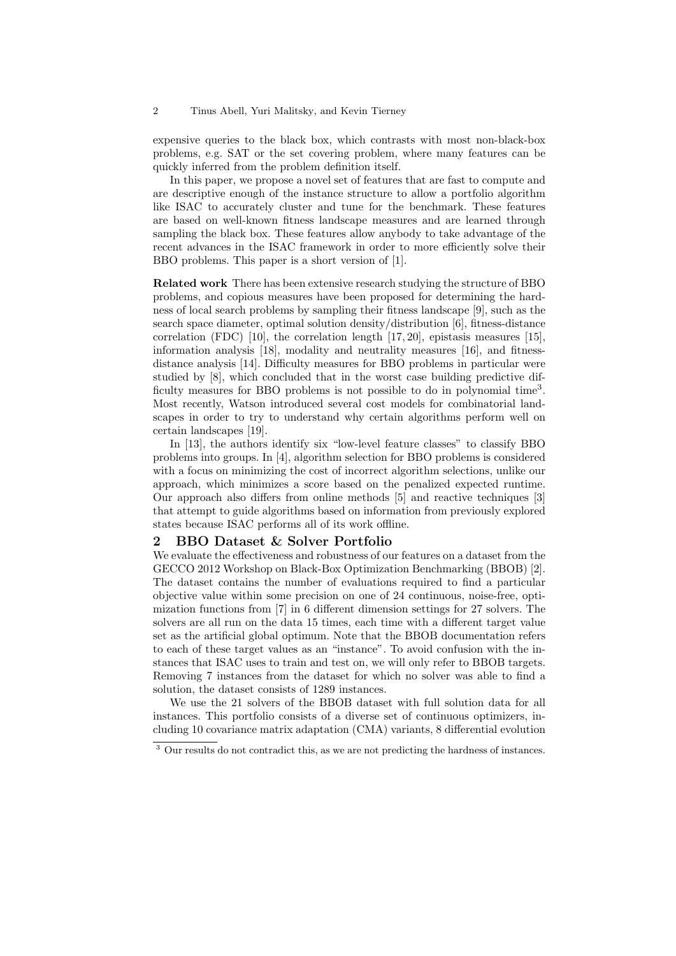#### 2 Tinus Abell, Yuri Malitsky, and Kevin Tierney

expensive queries to the black box, which contrasts with most non-black-box problems, e.g. SAT or the set covering problem, where many features can be quickly inferred from the problem definition itself.

In this paper, we propose a novel set of features that are fast to compute and are descriptive enough of the instance structure to allow a portfolio algorithm like ISAC to accurately cluster and tune for the benchmark. These features are based on well-known fitness landscape measures and are learned through sampling the black box. These features allow anybody to take advantage of the recent advances in the ISAC framework in order to more efficiently solve their BBO problems. This paper is a short version of [1].

Related work There has been extensive research studying the structure of BBO problems, and copious measures have been proposed for determining the hardness of local search problems by sampling their fitness landscape [9], such as the search space diameter, optimal solution density/distribution [6], fitness-distance correlation (FDC) [10], the correlation length  $[17, 20]$ , epistasis measures [15], information analysis [18], modality and neutrality measures [16], and fitnessdistance analysis [14]. Difficulty measures for BBO problems in particular were studied by [8], which concluded that in the worst case building predictive difficulty measures for BBO problems is not possible to do in polynomial time<sup>3</sup>. Most recently, Watson introduced several cost models for combinatorial landscapes in order to try to understand why certain algorithms perform well on certain landscapes [19].

In [13], the authors identify six "low-level feature classes" to classify BBO problems into groups. In [4], algorithm selection for BBO problems is considered with a focus on minimizing the cost of incorrect algorithm selections, unlike our approach, which minimizes a score based on the penalized expected runtime. Our approach also differs from online methods [5] and reactive techniques [3] that attempt to guide algorithms based on information from previously explored states because ISAC performs all of its work offline.

# 2 BBO Dataset & Solver Portfolio

We evaluate the effectiveness and robustness of our features on a dataset from the GECCO 2012 Workshop on Black-Box Optimization Benchmarking (BBOB) [2]. The dataset contains the number of evaluations required to find a particular objective value within some precision on one of 24 continuous, noise-free, optimization functions from [7] in 6 different dimension settings for 27 solvers. The solvers are all run on the data 15 times, each time with a different target value set as the artificial global optimum. Note that the BBOB documentation refers to each of these target values as an "instance". To avoid confusion with the instances that ISAC uses to train and test on, we will only refer to BBOB targets. Removing 7 instances from the dataset for which no solver was able to find a solution, the dataset consists of 1289 instances.

We use the 21 solvers of the BBOB dataset with full solution data for all instances. This portfolio consists of a diverse set of continuous optimizers, including 10 covariance matrix adaptation (CMA) variants, 8 differential evolution

<sup>&</sup>lt;sup>3</sup> Our results do not contradict this, as we are not predicting the hardness of instances.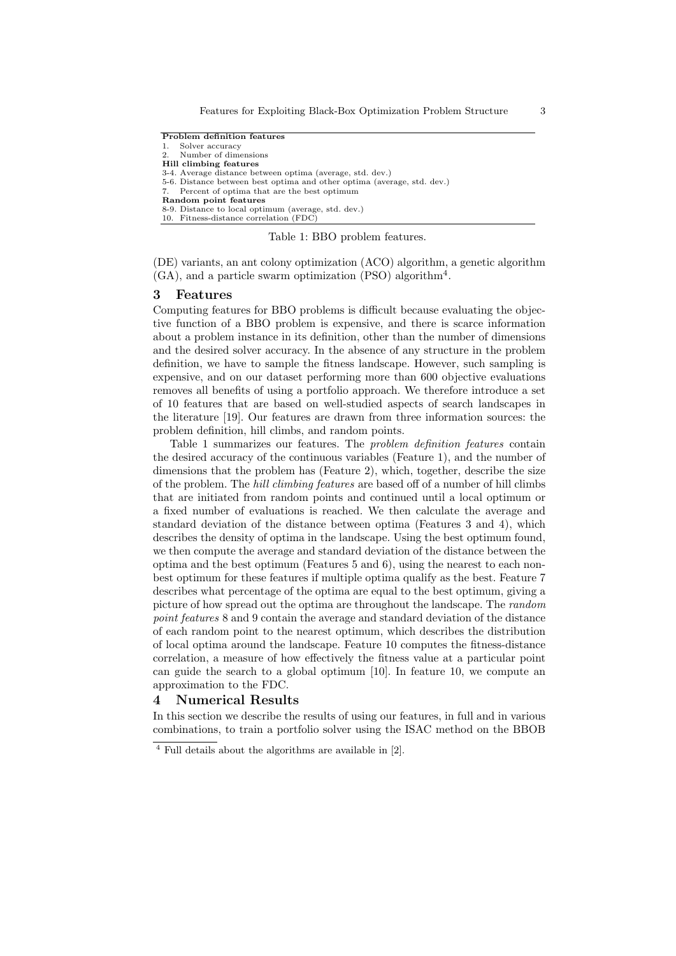Problem definition features 1. Solver accuracy 2. Number of dimensions Hill climbing features 3-4. Average distance between optima (average, std. dev.) 5-6. Distance between best optima and other optima (average, std. dev.) Percent of optima that are the best optimum Random point features 8-9. Distance to local optimum (average, std. dev.) 10. Fitness-distance correlation (FDC)

Table 1: BBO problem features.

(DE) variants, an ant colony optimization (ACO) algorithm, a genetic algorithm (GA), and a particle swarm optimization (PSO) algorithm<sup>4</sup> .

### 3 Features

Computing features for BBO problems is difficult because evaluating the objective function of a BBO problem is expensive, and there is scarce information about a problem instance in its definition, other than the number of dimensions and the desired solver accuracy. In the absence of any structure in the problem definition, we have to sample the fitness landscape. However, such sampling is expensive, and on our dataset performing more than 600 objective evaluations removes all benefits of using a portfolio approach. We therefore introduce a set of 10 features that are based on well-studied aspects of search landscapes in the literature [19]. Our features are drawn from three information sources: the problem definition, hill climbs, and random points.

Table 1 summarizes our features. The problem definition features contain the desired accuracy of the continuous variables (Feature 1), and the number of dimensions that the problem has (Feature 2), which, together, describe the size of the problem. The hill climbing features are based off of a number of hill climbs that are initiated from random points and continued until a local optimum or a fixed number of evaluations is reached. We then calculate the average and standard deviation of the distance between optima (Features 3 and 4), which describes the density of optima in the landscape. Using the best optimum found, we then compute the average and standard deviation of the distance between the optima and the best optimum (Features 5 and 6), using the nearest to each nonbest optimum for these features if multiple optima qualify as the best. Feature 7 describes what percentage of the optima are equal to the best optimum, giving a picture of how spread out the optima are throughout the landscape. The random point features 8 and 9 contain the average and standard deviation of the distance of each random point to the nearest optimum, which describes the distribution of local optima around the landscape. Feature 10 computes the fitness-distance correlation, a measure of how effectively the fitness value at a particular point can guide the search to a global optimum [10]. In feature 10, we compute an approximation to the FDC.

## 4 Numerical Results

In this section we describe the results of using our features, in full and in various combinations, to train a portfolio solver using the ISAC method on the BBOB

 $^4$  Full details about the algorithms are available in  $[2].$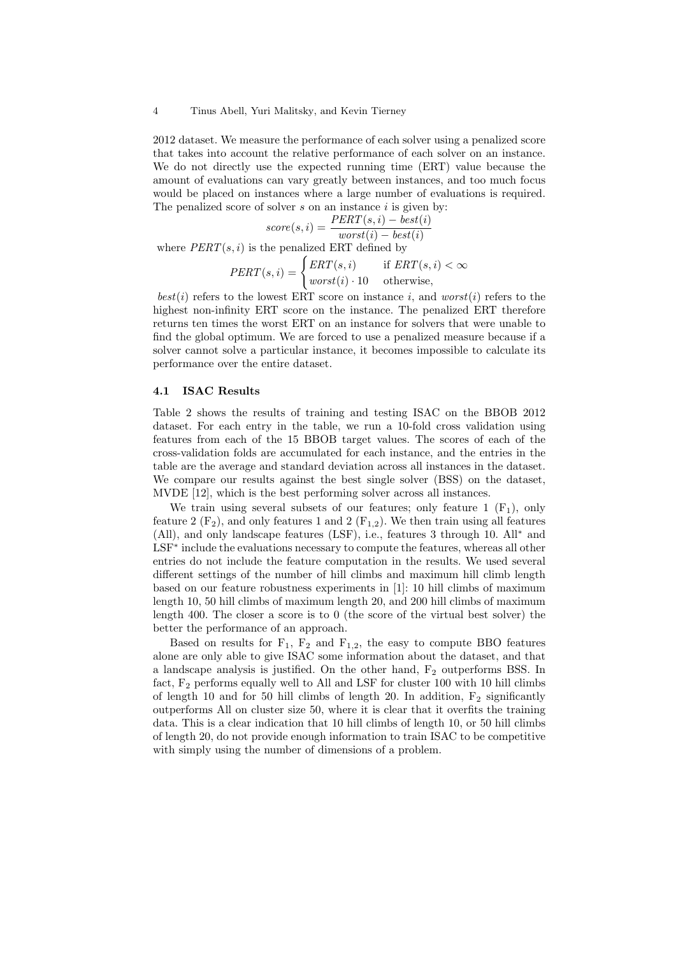#### 4 Tinus Abell, Yuri Malitsky, and Kevin Tierney

2012 dataset. We measure the performance of each solver using a penalized score that takes into account the relative performance of each solver on an instance. We do not directly use the expected running time (ERT) value because the amount of evaluations can vary greatly between instances, and too much focus would be placed on instances where a large number of evaluations is required. The penalized score of solver  $s$  on an instance  $i$  is given by:

$$
score(s, i) = \frac{PERT(s, i) - best(i)}{worst(i) - best(i)}
$$

where  $PERT(s, i)$  is the penalized ERT defined by

$$
PERT(s, i) = \begin{cases} ERT(s, i) & \text{if } ERT(s, i) < \infty \\ worst(i) \cdot 10 & \text{otherwise,} \end{cases}
$$

 $best(i)$  refers to the lowest ERT score on instance i, and worst(i) refers to the highest non-infinity ERT score on the instance. The penalized ERT therefore returns ten times the worst ERT on an instance for solvers that were unable to find the global optimum. We are forced to use a penalized measure because if a solver cannot solve a particular instance, it becomes impossible to calculate its performance over the entire dataset.

### 4.1 ISAC Results

Table 2 shows the results of training and testing ISAC on the BBOB 2012 dataset. For each entry in the table, we run a 10-fold cross validation using features from each of the 15 BBOB target values. The scores of each of the cross-validation folds are accumulated for each instance, and the entries in the table are the average and standard deviation across all instances in the dataset. We compare our results against the best single solver (BSS) on the dataset, MVDE [12], which is the best performing solver across all instances.

We train using several subsets of our features; only feature 1  $(F_1)$ , only feature 2  $(F_2)$ , and only features 1 and 2  $(F_{1,2})$ . We then train using all features (All), and only landscape features (LSF), i.e., features 3 through 10. All<sup>∗</sup> and LSF<sup>\*</sup> include the evaluations necessary to compute the features, whereas all other entries do not include the feature computation in the results. We used several different settings of the number of hill climbs and maximum hill climb length based on our feature robustness experiments in [1]: 10 hill climbs of maximum length 10, 50 hill climbs of maximum length 20, and 200 hill climbs of maximum length 400. The closer a score is to 0 (the score of the virtual best solver) the better the performance of an approach.

Based on results for  $F_1$ ,  $F_2$  and  $F_{1,2}$ , the easy to compute BBO features alone are only able to give ISAC some information about the dataset, and that a landscape analysis is justified. On the other hand,  $F_2$  outperforms BSS. In fact,  $F_2$  performs equally well to All and LSF for cluster 100 with 10 hill climbs of length 10 and for 50 hill climbs of length 20. In addition,  $F_2$  significantly outperforms All on cluster size 50, where it is clear that it overfits the training data. This is a clear indication that 10 hill climbs of length 10, or 50 hill climbs of length 20, do not provide enough information to train ISAC to be competitive with simply using the number of dimensions of a problem.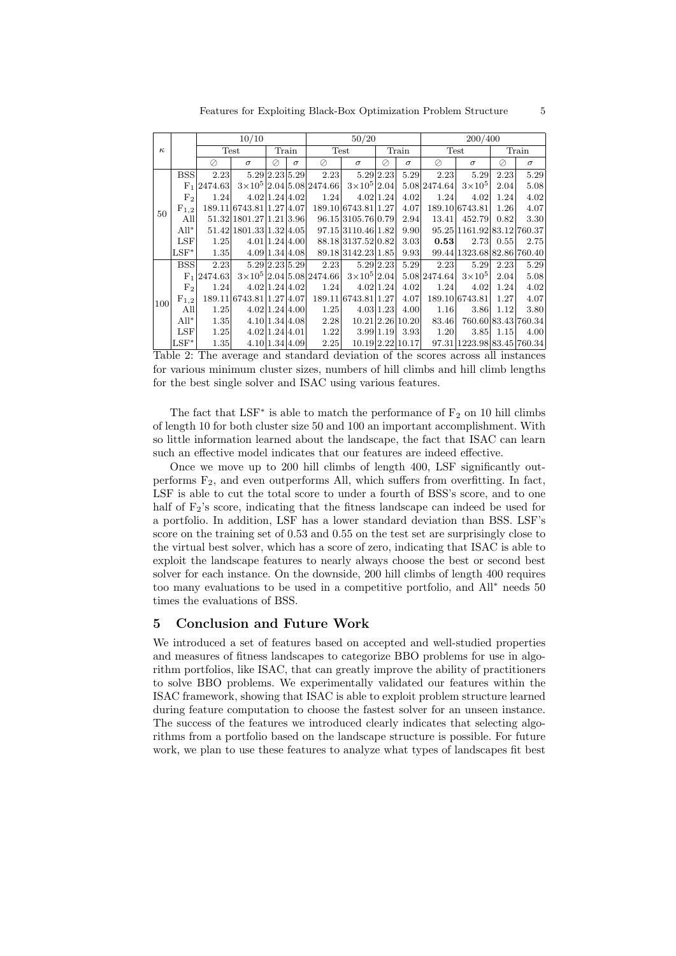Features for Exploiting Black-Box Optimization Problem Structure 5

|          | 10/10          |                |                          |                |             |                                       | 50/20                |           |                  | 200/400      |                            |      |                     |
|----------|----------------|----------------|--------------------------|----------------|-------------|---------------------------------------|----------------------|-----------|------------------|--------------|----------------------------|------|---------------------|
| $\kappa$ | Test           |                | Train                    |                | <b>Test</b> |                                       | Train                |           | Test             |              | Train                      |      |                     |
|          |                | Ø              | $\sigma$                 | ⊘              | $\sigma$    | Ø                                     | $\sigma$             | Ø         | $\sigma$         | Ø            | $\sigma$                   | Ø    | $\sigma$            |
| 50       | <b>BSS</b>     | 2.23           |                          | 5.29 2.23 5.29 |             | 2.23                                  |                      | 5.29 2.23 | 5.29             | 2.23         | 5.29                       | 2.23 | 5.29                |
|          | F <sub>1</sub> | 2474.63        |                          |                |             | $3\times10^5$ 2.04 5.08 2474.66       | $3\times10^5$ 2.04   |           |                  | 5.08 2474.64 | $3\times10^5$              | 2.04 | 5.08                |
|          | F <sub>2</sub> | 1.24           |                          | 4.02 1.24 4.02 |             | 1.24                                  |                      | 4.02 1.24 | 4.02             | 1.24         | 4.02                       | 1.24 | 4.02                |
|          | $F_{1,2}$      |                | 189.11 6743.81 1.27 4.07 |                |             |                                       | 189.10 6743.81 1.27  |           | 4.07             |              | 189.10 6743.81             | 1.26 | 4.07                |
|          | All            |                | 51.32 1801.27 1.21 3.96  |                |             |                                       | 96.15 3105.76 0.79   |           | 2.94             | 13.41        | 452.79                     | 0.82 | 3.30                |
|          | $All^*$        |                | 51.42 1801.33 1.32 4.05  |                |             |                                       | 97.15 3110.46 1.82   |           | 9.90             |              | 95.25 1161.92 83.12 760.37 |      |                     |
|          | <b>LSF</b>     | 1.25           |                          | 4.01 1.24 4.00 |             |                                       | 88.18 3137.52 0.82   |           | 3.03             | 0.53         | 2.73                       | 0.55 | 2.75                |
|          | $LSF^*$        | 1.35           |                          | 4.09 1.34 4.08 |             |                                       | 89.18 3142.23 1.85   |           | 9.93             |              | 99.44 1323.68 82.86 760.40 |      |                     |
| 100      | <b>BSS</b>     | 2.23           |                          | 5.29 2.23 5.29 |             | 2.23                                  | 5.29 2.23            |           | 5.29             | 2.23         | 5.29                       | 2.23 | 5.29                |
|          |                | $F_1$  2474.63 |                          |                |             | $3\times10^5$   2.04   5.08   2474.66 | $3\times10^{5}$ 2.04 |           |                  | 5.08 2474.64 | $3\times10^5$              | 2.04 | 5.08                |
|          | F <sub>2</sub> | 1.24           |                          | 4.02 1.24 4.02 |             | 1.24                                  |                      | 4.02 1.24 | 4.02             | 1.24         | 4.02                       | 1.24 | 4.02                |
|          | $F_{1,2}$      |                | 189.11 6743.81 1.27 4.07 |                |             |                                       | 189.11 6743.81 1.27  |           | 4.07             |              | 189.10 6743.81             | 1.27 | 4.07                |
|          | All            | 1.25           |                          | 4.02 1.24 4.00 |             | 1.25                                  |                      | 4.03 1.23 | 4.00             | 1.16         | 3.86                       | 1.12 | 3.80                |
|          | $All^*$        | 1.35           |                          | 4.10 1.34 4.08 |             | 2.28                                  |                      |           | 10.21 2.26 10.20 | 83.46        |                            |      | 760.60 83.43 760.34 |
|          | $_{\rm LSF}$   | 1.25           |                          | 4.02 1.24 4.01 |             | 1.22                                  | 3.99 1.19            |           | 3.93             | 1.20         | 3.85                       | 1.15 | 4.00                |
|          | $LSF^*$        | 1.35           |                          | 4.10 1.34 4.09 |             | 2.25                                  |                      |           | 10.19 2.22 10.17 |              | 97.31 1223.98 83.45 760.34 |      |                     |

Table 2: The average and standard deviation of the scores across all instances for various minimum cluster sizes, numbers of hill climbs and hill climb lengths for the best single solver and ISAC using various features.

The fact that LSF<sup>\*</sup> is able to match the performance of  $F_2$  on 10 hill climbs of length 10 for both cluster size 50 and 100 an important accomplishment. With so little information learned about the landscape, the fact that ISAC can learn such an effective model indicates that our features are indeed effective.

Once we move up to 200 hill climbs of length 400, LSF significantly outperforms  $F_2$ , and even outperforms All, which suffers from overfitting. In fact, LSF is able to cut the total score to under a fourth of BSS's score, and to one half of  $F_2$ 's score, indicating that the fitness landscape can indeed be used for a portfolio. In addition, LSF has a lower standard deviation than BSS. LSF's score on the training set of 0.53 and 0.55 on the test set are surprisingly close to the virtual best solver, which has a score of zero, indicating that ISAC is able to exploit the landscape features to nearly always choose the best or second best solver for each instance. On the downside, 200 hill climbs of length 400 requires too many evaluations to be used in a competitive portfolio, and All<sup>∗</sup> needs 50 times the evaluations of BSS.

# 5 Conclusion and Future Work

We introduced a set of features based on accepted and well-studied properties and measures of fitness landscapes to categorize BBO problems for use in algorithm portfolios, like ISAC, that can greatly improve the ability of practitioners to solve BBO problems. We experimentally validated our features within the ISAC framework, showing that ISAC is able to exploit problem structure learned during feature computation to choose the fastest solver for an unseen instance. The success of the features we introduced clearly indicates that selecting algorithms from a portfolio based on the landscape structure is possible. For future work, we plan to use these features to analyze what types of landscapes fit best